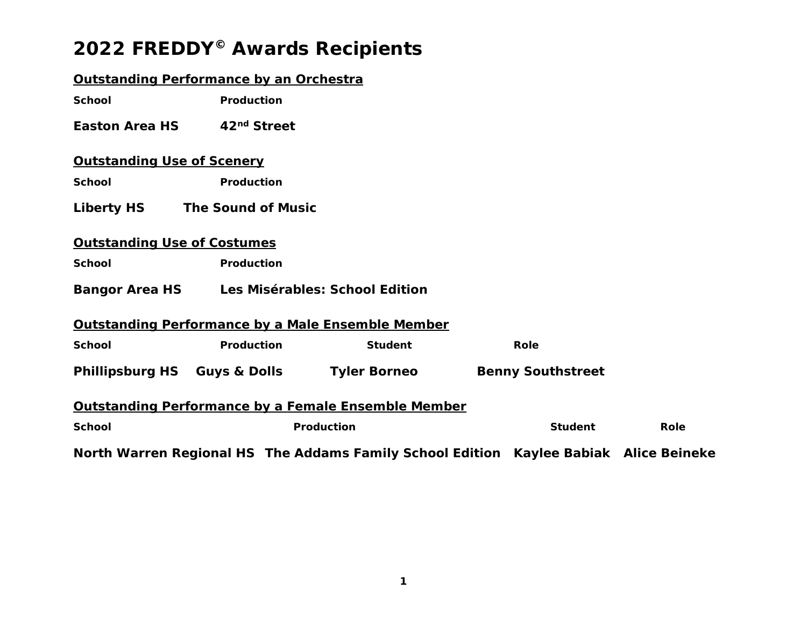### **Outstanding Performance by an Orchestra**

**School** Production

**Easton Area HS** *42nd Street* 

### **Outstanding Use of Scenery**

School **Production** 

**Liberty HS** *The Sound of Music*

### **Outstanding Use of Costumes**

School **Production** 

**Bangor Area HS** *Les Misérables: School Edition*

#### **Outstanding Performance by a Male Ensemble Member**

**School Broduction Student Role** Role

**Phillipsburg HS** *Guys & Dolls* **Tyler Borneo** *Benny Southstreet* 

#### **Outstanding Performance by a Female Ensemble Member**

| <b>School</b> | Production                                                                            | Student | Role |
|---------------|---------------------------------------------------------------------------------------|---------|------|
|               | North Warren Regional HS The Addams Family School Edition Kaylee Babiak Alice Beineke |         |      |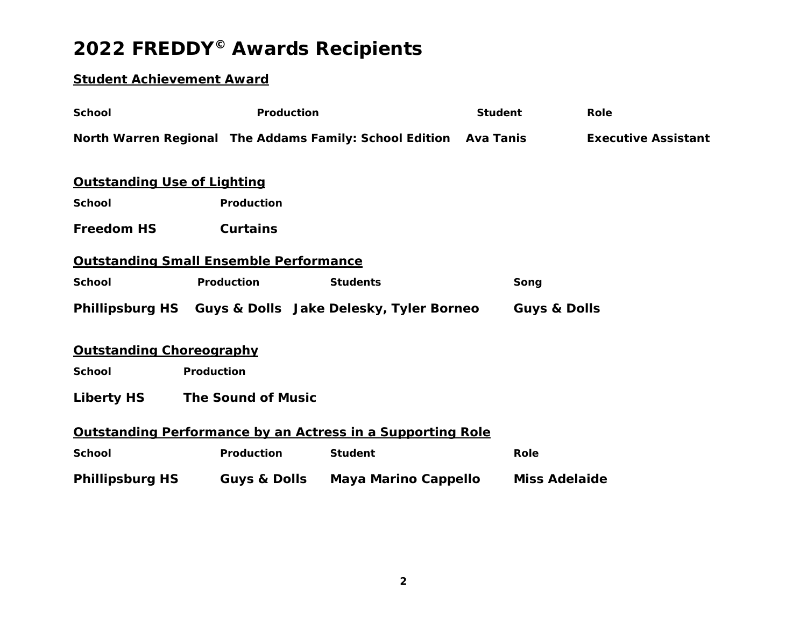### **Student Achievement Award**

| <b>School</b>                                 | Production                |                                                                   | <b>Student</b>          | Role                       |
|-----------------------------------------------|---------------------------|-------------------------------------------------------------------|-------------------------|----------------------------|
|                                               |                           | North Warren Regional The Addams Family: School Edition Ava Tanis |                         | <b>Executive Assistant</b> |
|                                               |                           |                                                                   |                         |                            |
| <b>Outstanding Use of Lighting</b>            |                           |                                                                   |                         |                            |
| <b>School</b>                                 | Production                |                                                                   |                         |                            |
| <b>Freedom HS</b>                             | <b>Curtains</b>           |                                                                   |                         |                            |
| <b>Outstanding Small Ensemble Performance</b> |                           |                                                                   |                         |                            |
| <b>School</b>                                 | Production                | <b>Students</b>                                                   | Song                    |                            |
|                                               |                           | Phillipsburg HS Guys & Dolls Jake Delesky, Tyler Borneo           | <b>Guys &amp; Dolls</b> |                            |
| <b>Outstanding Choreography</b>               |                           |                                                                   |                         |                            |
| <b>School</b>                                 | Production                |                                                                   |                         |                            |
| <b>Liberty HS</b>                             | <b>The Sound of Music</b> |                                                                   |                         |                            |
|                                               |                           | Outstanding Performance by an Actress in a Supporting Role        |                         |                            |
| <b>School</b>                                 | Production                | <b>Student</b>                                                    | Role                    |                            |
| <b>Phillipsburg HS</b>                        |                           | Guys & Dolls Maya Marino Cappello                                 | <b>Miss Adelaide</b>    |                            |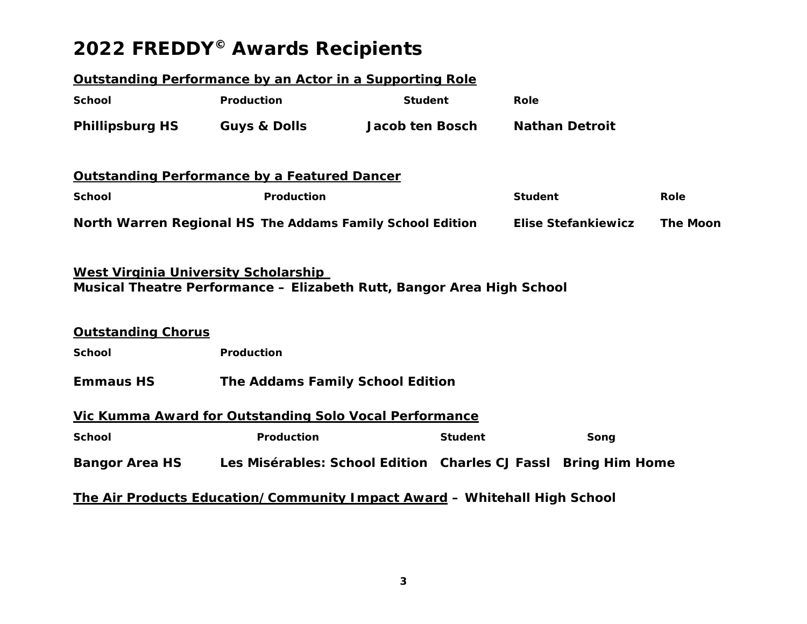|                                                                   | Outstanding Performance by an Actor in a Supporting Role                      |                 |                |                       |                            |                 |
|-------------------------------------------------------------------|-------------------------------------------------------------------------------|-----------------|----------------|-----------------------|----------------------------|-----------------|
| <b>School</b>                                                     | Production                                                                    | <b>Student</b>  |                | <b>Role</b>           |                            |                 |
| <b>Phillipsburg HS</b>                                            | <b>Guys &amp; Dolls</b>                                                       | Jacob ten Bosch |                | <b>Nathan Detroit</b> |                            |                 |
|                                                                   | <b>Outstanding Performance by a Featured Dancer</b>                           |                 |                |                       |                            |                 |
| <b>School</b>                                                     | Production                                                                    |                 |                | <b>Student</b>        |                            | Role            |
|                                                                   | North Warren Regional HS The Addams Family School Edition                     |                 |                |                       | <b>Elise Stefankiewicz</b> | <b>The Moon</b> |
| West Virginia University Scholarship<br><b>Outstanding Chorus</b> | Musical Theatre Performance - Elizabeth Rutt, Bangor Area High School         |                 |                |                       |                            |                 |
| <b>School</b>                                                     | Production                                                                    |                 |                |                       |                            |                 |
| <b>Emmaus HS</b>                                                  | <b>The Addams Family School Edition</b>                                       |                 |                |                       |                            |                 |
|                                                                   | Vic Kumma Award for Outstanding Solo Vocal Performance                        |                 |                |                       |                            |                 |
| <b>School</b>                                                     | <b>Production</b>                                                             |                 | <b>Student</b> |                       | Song                       |                 |
|                                                                   | Bangor Area HS Les Misérables: School Edition Charles CJ Fassl Bring Him Home |                 |                |                       |                            |                 |
|                                                                   | The Air Products Education/Community Impact Award - Whitehall High School     |                 |                |                       |                            |                 |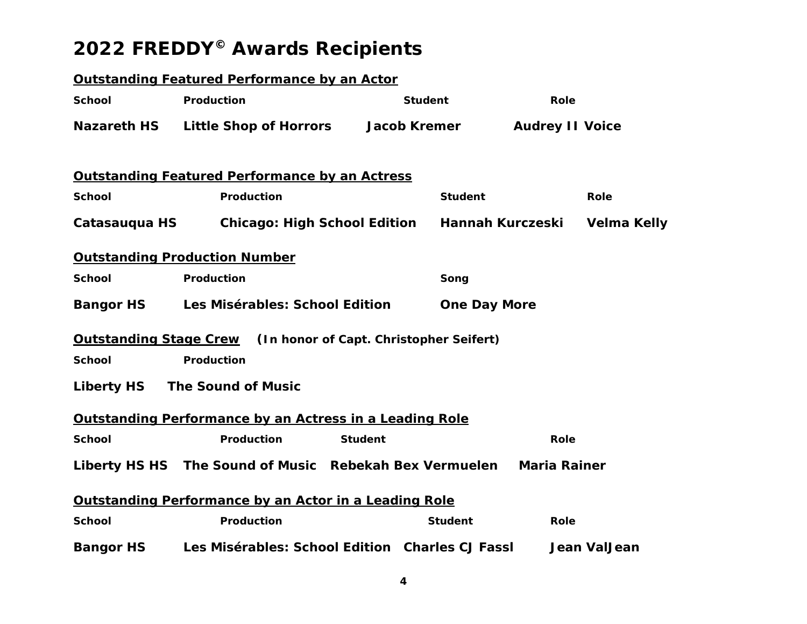|                               | <b>Outstanding Featured Performance by an Actor</b>            |                                         |                     |                        |              |
|-------------------------------|----------------------------------------------------------------|-----------------------------------------|---------------------|------------------------|--------------|
| <b>School</b>                 | Production                                                     | <b>Student</b>                          |                     | <b>Role</b>            |              |
| <b>Nazareth HS</b>            | <b>Little Shop of Horrors</b>                                  | <b>Jacob Kremer</b>                     |                     | <b>Audrey II Voice</b> |              |
|                               | <b>Outstanding Featured Performance by an Actress</b>          |                                         |                     |                        |              |
| <b>School</b>                 | Production                                                     |                                         | <b>Student</b>      |                        | Role         |
| Catasauqua HS                 | <b>Chicago: High School Edition</b>                            |                                         | Hannah Kurczeski    |                        | Velma Kelly  |
|                               | <b>Outstanding Production Number</b>                           |                                         |                     |                        |              |
| <b>School</b>                 | Production                                                     |                                         | Song                |                        |              |
| <b>Bangor HS</b>              | Les Misérables: School Edition                                 |                                         | <b>One Day More</b> |                        |              |
| <b>Outstanding Stage Crew</b> |                                                                | (In honor of Capt. Christopher Seifert) |                     |                        |              |
| <b>School</b>                 | Production                                                     |                                         |                     |                        |              |
|                               | Liberty HS The Sound of Music                                  |                                         |                     |                        |              |
|                               | <b>Outstanding Performance by an Actress in a Leading Role</b> |                                         |                     |                        |              |
| <b>School</b>                 | Production                                                     | <b>Student</b>                          |                     | Role                   |              |
|                               | Liberty HS HS The Sound of Music Rebekah Bex Vermuelen         |                                         |                     | <b>Maria Rainer</b>    |              |
|                               | Outstanding Performance by an Actor in a Leading Role          |                                         |                     |                        |              |
| <b>School</b>                 | Production                                                     |                                         | <b>Student</b>      | Role                   |              |
| <b>Bangor HS</b>              | Les Misérables: School Edition Charles CJ Fassl                |                                         |                     |                        | Jean ValJean |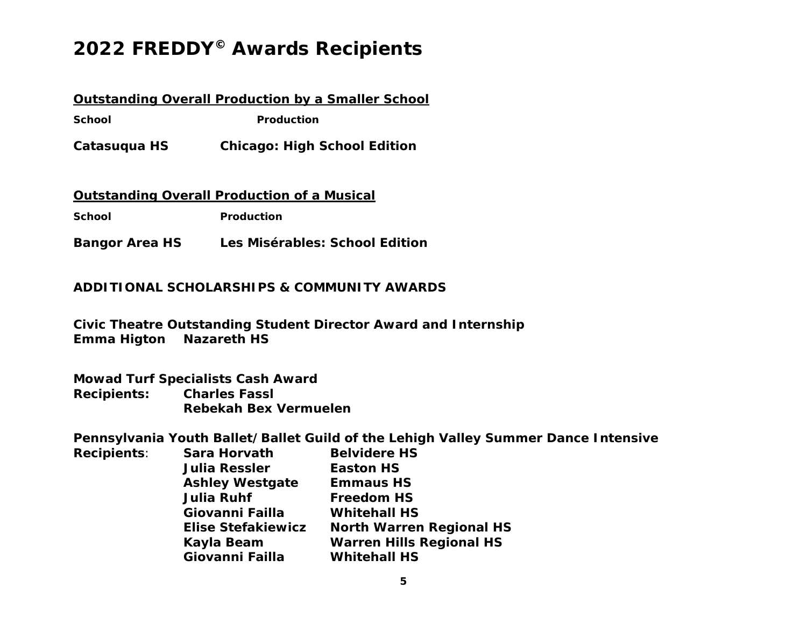### **Outstanding Overall Production by a Smaller School**

**School** Production

**Catasuqua HS** *Chicago: High School Edition* 

### **Outstanding Overall Production of a Musical**

School **Production** 

**Bangor Area HS** *Les Misérables: School Edition*

### **ADDITIONAL SCHOLARSHIPS & COMMUNITY AWARDS**

**Civic Theatre Outstanding Student Director Award and Internship Emma Higton Nazareth HS** 

**Mowad Turf Specialists Cash Award Recipients: Charles Fassl Rebekah Bex Vermuelen** 

**Pennsylvania Youth Ballet/Ballet Guild of the Lehigh Valley Summer Dance Intensive** 

| <b>Recipients:</b> | Sara Horvath              | <b>Belvidere HS</b>             |
|--------------------|---------------------------|---------------------------------|
|                    | <b>Julia Ressler</b>      | <b>Easton HS</b>                |
|                    | <b>Ashley Westgate</b>    | <b>Emmaus HS</b>                |
|                    | <b>Julia Ruhf</b>         | <b>Freedom HS</b>               |
|                    | Giovanni Failla           | <b>Whitehall HS</b>             |
|                    | <b>Elise Stefakiewicz</b> | <b>North Warren Regional HS</b> |
|                    | Kayla Beam                | <b>Warren Hills Regional HS</b> |
|                    | Giovanni Failla           | <b>Whitehall HS</b>             |